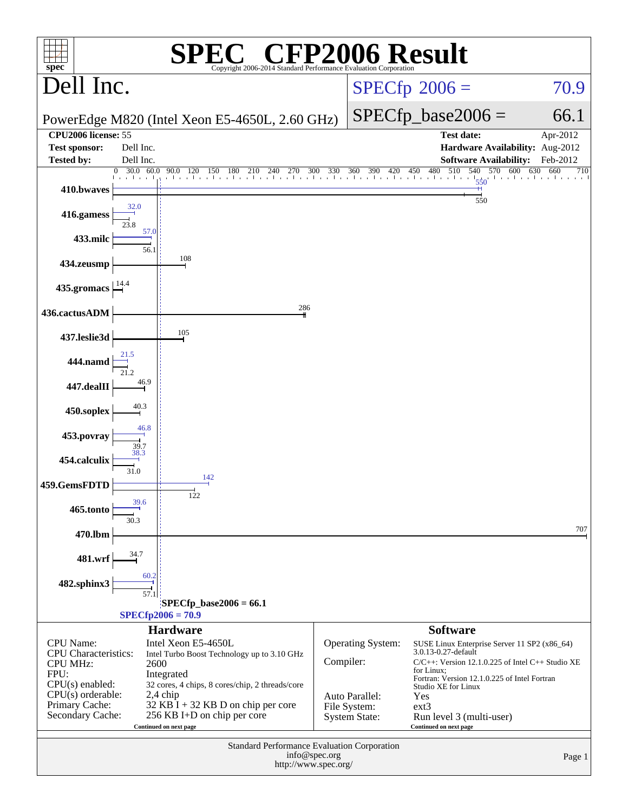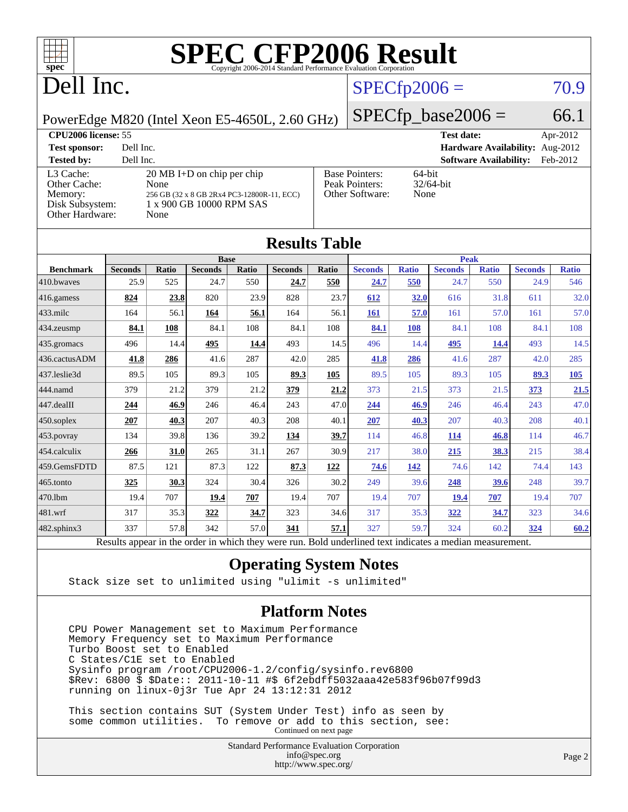

# Dell Inc.

### $SPECfp2006 = 70.9$  $SPECfp2006 = 70.9$

PowerEdge M820 (Intel Xeon E5-4650L, 2.60 GHz)

 $SPECfp\_base2006 = 66.1$ 

| <b>CPU2006 license: 55</b>                                                 |                                                                                                                                |                                                            | <b>Test date:</b><br>Apr-2012             |
|----------------------------------------------------------------------------|--------------------------------------------------------------------------------------------------------------------------------|------------------------------------------------------------|-------------------------------------------|
| <b>Test sponsor:</b>                                                       | Dell Inc.                                                                                                                      |                                                            | Hardware Availability: Aug-2012           |
| <b>Tested by:</b>                                                          | Dell Inc.                                                                                                                      |                                                            | <b>Software Availability:</b><br>Feb-2012 |
| L3 Cache:<br>Other Cache:<br>Memory:<br>Disk Subsystem:<br>Other Hardware: | $20 \text{ MB I+D}$ on chip per chip<br>None<br>256 GB (32 x 8 GB 2Rx4 PC3-12800R-11, ECC)<br>1 x 900 GB 10000 RPM SAS<br>None | <b>Base Pointers:</b><br>Peak Pointers:<br>Other Software: | $64$ -bit<br>$32/64$ -bit<br>None         |

| <b>Results Table</b> |                                                                                                          |              |                |       |                |             |                |              |                |              |                |              |
|----------------------|----------------------------------------------------------------------------------------------------------|--------------|----------------|-------|----------------|-------------|----------------|--------------|----------------|--------------|----------------|--------------|
|                      | <b>Base</b>                                                                                              |              |                |       |                | <b>Peak</b> |                |              |                |              |                |              |
| <b>Benchmark</b>     | <b>Seconds</b>                                                                                           | <b>Ratio</b> | <b>Seconds</b> | Ratio | <b>Seconds</b> | Ratio       | <b>Seconds</b> | <b>Ratio</b> | <b>Seconds</b> | <b>Ratio</b> | <b>Seconds</b> | <b>Ratio</b> |
| 410.bwayes           | 25.9                                                                                                     | 525          | 24.7           | 550   | 24.7           | 550         | 24.7           | 550          | 24.7           | 550          | 24.9           | 546          |
| 416.gamess           | 824                                                                                                      | 23.8         | 820            | 23.9  | 828            | 23.7        | 612            | 32.0         | 616            | 31.8         | 611            | 32.0         |
| $433$ .milc          | 164                                                                                                      | 56.1         | 164            | 56.1  | 164            | 56.1        | 161            | 57.0         | 161            | 57.0         | 161            | 57.0         |
| 434.zeusmp           | 84.1                                                                                                     | 108          | 84.1           | 108   | 84.1           | 108         | 84.1           | 108          | 84.1           | 108          | 84.1           | 108          |
| 435.gromacs          | 496                                                                                                      | 14.4         | 495            | 14.4  | 493            | 14.5        | 496            | 14.4         | 495            | 14.4         | 493            | 14.5         |
| 436.cactusADM        | 41.8                                                                                                     | 286          | 41.6           | 287   | 42.0           | 285         | 41.8           | 286          | 41.6           | 287          | 42.0           | 285          |
| 437.leslie3d         | 89.5                                                                                                     | 105          | 89.3           | 105   | 89.3           | 105         | 89.5           | 105          | 89.3           | 105          | 89.3           | 105          |
| 444.namd             | 379                                                                                                      | 21.2         | 379            | 21.2  | 379            | 21.2        | 373            | 21.5         | 373            | 21.5         | 373            | 21.5         |
| 447.dealII           | 244                                                                                                      | 46.9         | 246            | 46.4  | 243            | 47.0        | 244            | 46.9         | 246            | 46.4         | 243            | 47.0         |
| 450.soplex           | 207                                                                                                      | 40.3         | 207            | 40.3  | 208            | 40.1        | 207            | 40.3         | 207            | 40.3         | 208            | 40.1         |
| 453.povray           | 134                                                                                                      | 39.8         | 136            | 39.2  | 134            | 39.7        | 114            | 46.8         | 114            | 46.8         | 114            | 46.7         |
| 454.calculix         | 266                                                                                                      | 31.0         | 265            | 31.1  | 267            | 30.9        | 217            | 38.0         | 215            | 38.3         | 215            | 38.4         |
| 459.GemsFDTD         | 87.5                                                                                                     | 121          | 87.3           | 122   | 87.3           | 122         | 74.6           | 142          | 74.6           | 142          | 74.4           | 143          |
| 465.tonto            | 325                                                                                                      | 30.3         | 324            | 30.4  | 326            | 30.2        | 249            | 39.6         | 248            | 39.6         | 248            | 39.7         |
| 470.1bm              | 19.4                                                                                                     | 707          | 19.4           | 707   | 19.4           | 707         | 19.4           | 707          | 19.4           | 707          | 19.4           | 707          |
| 481.wrf              | 317                                                                                                      | 35.3         | 322            | 34.7  | 323            | 34.6        | 317            | 35.3         | 322            | 34.7         | 323            | 34.6         |
| 482.sphinx3          | 337                                                                                                      | 57.8         | 342            | 57.0  | 341            | 57.1        | 327            | 59.7         | 324            | 60.2         | 324            | 60.2         |
|                      | Results appear in the order in which they were run. Bold underlined text indicates a median measurement. |              |                |       |                |             |                |              |                |              |                |              |

#### **[Operating System Notes](http://www.spec.org/auto/cpu2006/Docs/result-fields.html#OperatingSystemNotes)**

Stack size set to unlimited using "ulimit -s unlimited"

#### **[Platform Notes](http://www.spec.org/auto/cpu2006/Docs/result-fields.html#PlatformNotes)**

 CPU Power Management set to Maximum Performance Memory Frequency set to Maximum Performance Turbo Boost set to Enabled C States/C1E set to Enabled Sysinfo program /root/CPU2006-1.2/config/sysinfo.rev6800 \$Rev: 6800 \$ \$Date:: 2011-10-11 #\$ 6f2ebdff5032aaa42e583f96b07f99d3 running on linux-0j3r Tue Apr 24 13:12:31 2012

 This section contains SUT (System Under Test) info as seen by some common utilities. To remove or add to this section, see: Continued on next page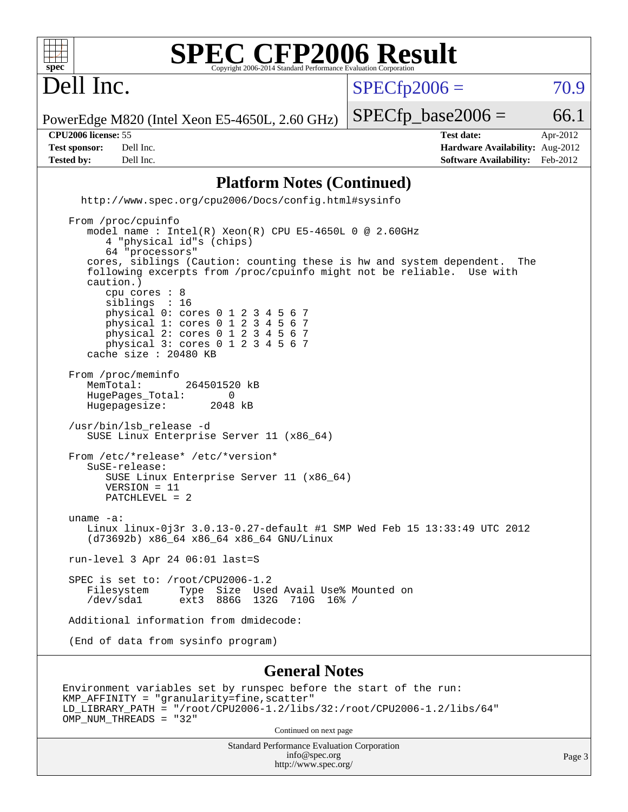

Dell Inc.

 $SPECTp2006 = 70.9$ 

PowerEdge M820 (Intel Xeon E5-4650L, 2.60 GHz)

**[Tested by:](http://www.spec.org/auto/cpu2006/Docs/result-fields.html#Testedby)** Dell Inc. **[Software Availability:](http://www.spec.org/auto/cpu2006/Docs/result-fields.html#SoftwareAvailability)** Feb-2012

**[CPU2006 license:](http://www.spec.org/auto/cpu2006/Docs/result-fields.html#CPU2006license)** 55 **[Test date:](http://www.spec.org/auto/cpu2006/Docs/result-fields.html#Testdate)** Apr-2012 **[Test sponsor:](http://www.spec.org/auto/cpu2006/Docs/result-fields.html#Testsponsor)** Dell Inc. **[Hardware Availability:](http://www.spec.org/auto/cpu2006/Docs/result-fields.html#HardwareAvailability)** Aug-2012

 $SPECTp\_base2006 = 66.1$ 

**[Platform Notes \(Continued\)](http://www.spec.org/auto/cpu2006/Docs/result-fields.html#PlatformNotes)** <http://www.spec.org/cpu2006/Docs/config.html#sysinfo> From /proc/cpuinfo model name : Intel(R) Xeon(R) CPU E5-4650L 0 @ 2.60GHz 4 "physical id"s (chips) 64 "processors" cores, siblings (Caution: counting these is hw and system dependent. The following excerpts from /proc/cpuinfo might not be reliable. Use with caution.) cpu cores : 8 siblings : 16 physical 0: cores 0 1 2 3 4 5 6 7 physical 1: cores 0 1 2 3 4 5 6 7 physical 2: cores 0 1 2 3 4 5 6 7 physical 3: cores 0 1 2 3 4 5 6 7 cache size : 20480 KB From /proc/meminfo MemTotal: 264501520 kB HugePages\_Total: 0<br>Hugepagesize: 2048 kB Hugepagesize: /usr/bin/lsb\_release -d SUSE Linux Enterprise Server 11 (x86\_64) From /etc/\*release\* /etc/\*version\* SuSE-release: SUSE Linux Enterprise Server 11 (x86\_64) VERSION = 11 PATCHLEVEL = 2 uname -a: Linux linux-0j3r 3.0.13-0.27-default #1 SMP Wed Feb 15 13:33:49 UTC 2012 (d73692b) x86\_64 x86\_64 x86\_64 GNU/Linux run-level 3 Apr 24 06:01 last=S SPEC is set to: /root/CPU2006-1.2<br>Filesystem Type Size Use Filesystem Type Size Used Avail Use% Mounted on /dev/sda1 ext3 886G 132G 710G 16% / Additional information from dmidecode: (End of data from sysinfo program) **[General Notes](http://www.spec.org/auto/cpu2006/Docs/result-fields.html#GeneralNotes)**

Environment variables set by runspec before the start of the run: KMP\_AFFINITY = "granularity=fine,scatter" LD\_LIBRARY\_PATH = "/root/CPU2006-1.2/libs/32:/root/CPU2006-1.2/libs/64" OMP\_NUM\_THREADS = "32"

Continued on next page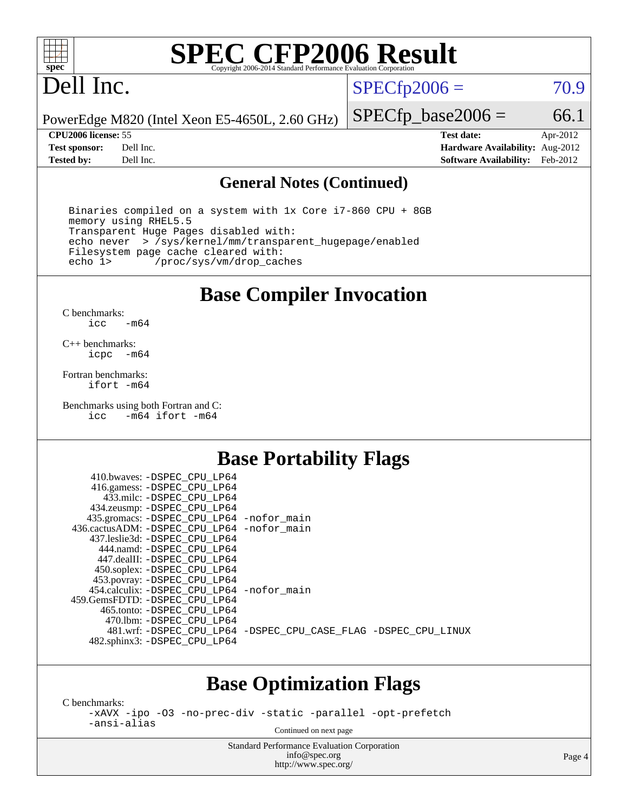

# Dell Inc.

 $SPECTp2006 = 70.9$ 

PowerEdge M820 (Intel Xeon E5-4650L, 2.60 GHz)

**[Tested by:](http://www.spec.org/auto/cpu2006/Docs/result-fields.html#Testedby)** Dell Inc. **[Software Availability:](http://www.spec.org/auto/cpu2006/Docs/result-fields.html#SoftwareAvailability)** Feb-2012

**[CPU2006 license:](http://www.spec.org/auto/cpu2006/Docs/result-fields.html#CPU2006license)** 55 **[Test date:](http://www.spec.org/auto/cpu2006/Docs/result-fields.html#Testdate)** Apr-2012 **[Test sponsor:](http://www.spec.org/auto/cpu2006/Docs/result-fields.html#Testsponsor)** Dell Inc. **[Hardware Availability:](http://www.spec.org/auto/cpu2006/Docs/result-fields.html#HardwareAvailability)** Aug-2012

 $SPECTp\_base2006 = 66.1$ 

#### **[General Notes \(Continued\)](http://www.spec.org/auto/cpu2006/Docs/result-fields.html#GeneralNotes)**

 Binaries compiled on a system with 1x Core i7-860 CPU + 8GB memory using RHEL5.5 Transparent Huge Pages disabled with: echo never > /sys/kernel/mm/transparent\_hugepage/enabled Filesystem page cache cleared with:<br>echo 1> /proc/sys/vm/drop\_cac /proc/sys/vm/drop\_caches

### **[Base Compiler Invocation](http://www.spec.org/auto/cpu2006/Docs/result-fields.html#BaseCompilerInvocation)**

[C benchmarks](http://www.spec.org/auto/cpu2006/Docs/result-fields.html#Cbenchmarks): [icc -m64](http://www.spec.org/cpu2006/results/res2012q3/cpu2006-20120703-23439.flags.html#user_CCbase_intel_icc_64bit_0b7121f5ab7cfabee23d88897260401c)

[C++ benchmarks:](http://www.spec.org/auto/cpu2006/Docs/result-fields.html#CXXbenchmarks) [icpc -m64](http://www.spec.org/cpu2006/results/res2012q3/cpu2006-20120703-23439.flags.html#user_CXXbase_intel_icpc_64bit_bedb90c1146cab66620883ef4f41a67e)

[Fortran benchmarks](http://www.spec.org/auto/cpu2006/Docs/result-fields.html#Fortranbenchmarks): [ifort -m64](http://www.spec.org/cpu2006/results/res2012q3/cpu2006-20120703-23439.flags.html#user_FCbase_intel_ifort_64bit_ee9d0fb25645d0210d97eb0527dcc06e)

[Benchmarks using both Fortran and C](http://www.spec.org/auto/cpu2006/Docs/result-fields.html#BenchmarksusingbothFortranandC): [icc -m64](http://www.spec.org/cpu2006/results/res2012q3/cpu2006-20120703-23439.flags.html#user_CC_FCbase_intel_icc_64bit_0b7121f5ab7cfabee23d88897260401c) [ifort -m64](http://www.spec.org/cpu2006/results/res2012q3/cpu2006-20120703-23439.flags.html#user_CC_FCbase_intel_ifort_64bit_ee9d0fb25645d0210d97eb0527dcc06e)

### **[Base Portability Flags](http://www.spec.org/auto/cpu2006/Docs/result-fields.html#BasePortabilityFlags)**

| 410.bwaves: -DSPEC CPU LP64<br>416.gamess: -DSPEC_CPU_LP64 |                                                                |
|------------------------------------------------------------|----------------------------------------------------------------|
| 433.milc: -DSPEC CPU LP64                                  |                                                                |
| 434.zeusmp: -DSPEC_CPU_LP64                                |                                                                |
| 435.gromacs: -DSPEC_CPU_LP64 -nofor_main                   |                                                                |
| 436.cactusADM: -DSPEC CPU LP64 -nofor main                 |                                                                |
| 437.leslie3d: -DSPEC CPU LP64                              |                                                                |
| 444.namd: - DSPEC CPU LP64                                 |                                                                |
| 447.dealII: -DSPEC_CPU_LP64                                |                                                                |
| 450.soplex: -DSPEC_CPU_LP64                                |                                                                |
| 453.povray: -DSPEC_CPU_LP64                                |                                                                |
| 454.calculix: -DSPEC_CPU_LP64 -nofor_main                  |                                                                |
| 459.GemsFDTD: -DSPEC CPU LP64                              |                                                                |
| 465.tonto: - DSPEC CPU LP64                                |                                                                |
| 470.1bm: - DSPEC CPU LP64                                  |                                                                |
|                                                            | 481.wrf: -DSPEC_CPU_LP64 -DSPEC_CPU_CASE_FLAG -DSPEC_CPU_LINUX |
| 482.sphinx3: -DSPEC_CPU_LP64                               |                                                                |
|                                                            |                                                                |

### **[Base Optimization Flags](http://www.spec.org/auto/cpu2006/Docs/result-fields.html#BaseOptimizationFlags)**

[C benchmarks](http://www.spec.org/auto/cpu2006/Docs/result-fields.html#Cbenchmarks):

[-xAVX](http://www.spec.org/cpu2006/results/res2012q3/cpu2006-20120703-23439.flags.html#user_CCbase_f-xAVX) [-ipo](http://www.spec.org/cpu2006/results/res2012q3/cpu2006-20120703-23439.flags.html#user_CCbase_f-ipo) [-O3](http://www.spec.org/cpu2006/results/res2012q3/cpu2006-20120703-23439.flags.html#user_CCbase_f-O3) [-no-prec-div](http://www.spec.org/cpu2006/results/res2012q3/cpu2006-20120703-23439.flags.html#user_CCbase_f-no-prec-div) [-static](http://www.spec.org/cpu2006/results/res2012q3/cpu2006-20120703-23439.flags.html#user_CCbase_f-static) [-parallel](http://www.spec.org/cpu2006/results/res2012q3/cpu2006-20120703-23439.flags.html#user_CCbase_f-parallel) [-opt-prefetch](http://www.spec.org/cpu2006/results/res2012q3/cpu2006-20120703-23439.flags.html#user_CCbase_f-opt-prefetch) [-ansi-alias](http://www.spec.org/cpu2006/results/res2012q3/cpu2006-20120703-23439.flags.html#user_CCbase_f-ansi-alias)

Continued on next page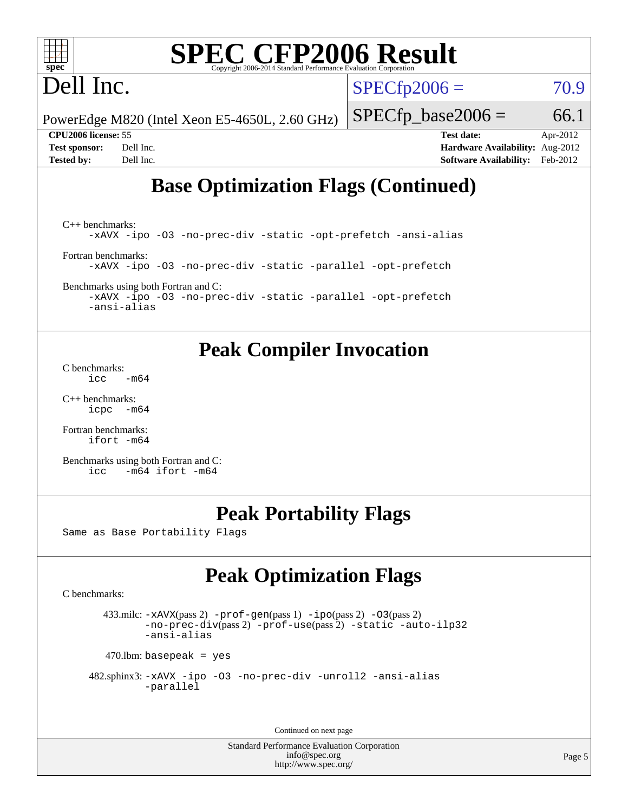# Dell Inc.

 $SPECfp2006 = 70.9$  $SPECfp2006 = 70.9$ 

PowerEdge M820 (Intel Xeon E5-4650L, 2.60 GHz)

 $SPECTp\_base2006 = 66.1$ 

**[CPU2006 license:](http://www.spec.org/auto/cpu2006/Docs/result-fields.html#CPU2006license)** 55 **[Test date:](http://www.spec.org/auto/cpu2006/Docs/result-fields.html#Testdate)** Apr-2012 **[Test sponsor:](http://www.spec.org/auto/cpu2006/Docs/result-fields.html#Testsponsor)** Dell Inc. **[Hardware Availability:](http://www.spec.org/auto/cpu2006/Docs/result-fields.html#HardwareAvailability)** Aug-2012 **[Tested by:](http://www.spec.org/auto/cpu2006/Docs/result-fields.html#Testedby)** Dell Inc. **[Software Availability:](http://www.spec.org/auto/cpu2006/Docs/result-fields.html#SoftwareAvailability)** Feb-2012

## **[Base Optimization Flags \(Continued\)](http://www.spec.org/auto/cpu2006/Docs/result-fields.html#BaseOptimizationFlags)**

[C++ benchmarks:](http://www.spec.org/auto/cpu2006/Docs/result-fields.html#CXXbenchmarks) [-xAVX](http://www.spec.org/cpu2006/results/res2012q3/cpu2006-20120703-23439.flags.html#user_CXXbase_f-xAVX) [-ipo](http://www.spec.org/cpu2006/results/res2012q3/cpu2006-20120703-23439.flags.html#user_CXXbase_f-ipo) [-O3](http://www.spec.org/cpu2006/results/res2012q3/cpu2006-20120703-23439.flags.html#user_CXXbase_f-O3) [-no-prec-div](http://www.spec.org/cpu2006/results/res2012q3/cpu2006-20120703-23439.flags.html#user_CXXbase_f-no-prec-div) [-static](http://www.spec.org/cpu2006/results/res2012q3/cpu2006-20120703-23439.flags.html#user_CXXbase_f-static) [-opt-prefetch](http://www.spec.org/cpu2006/results/res2012q3/cpu2006-20120703-23439.flags.html#user_CXXbase_f-opt-prefetch) [-ansi-alias](http://www.spec.org/cpu2006/results/res2012q3/cpu2006-20120703-23439.flags.html#user_CXXbase_f-ansi-alias) [Fortran benchmarks](http://www.spec.org/auto/cpu2006/Docs/result-fields.html#Fortranbenchmarks): [-xAVX](http://www.spec.org/cpu2006/results/res2012q3/cpu2006-20120703-23439.flags.html#user_FCbase_f-xAVX) [-ipo](http://www.spec.org/cpu2006/results/res2012q3/cpu2006-20120703-23439.flags.html#user_FCbase_f-ipo) [-O3](http://www.spec.org/cpu2006/results/res2012q3/cpu2006-20120703-23439.flags.html#user_FCbase_f-O3) [-no-prec-div](http://www.spec.org/cpu2006/results/res2012q3/cpu2006-20120703-23439.flags.html#user_FCbase_f-no-prec-div) [-static](http://www.spec.org/cpu2006/results/res2012q3/cpu2006-20120703-23439.flags.html#user_FCbase_f-static) [-parallel](http://www.spec.org/cpu2006/results/res2012q3/cpu2006-20120703-23439.flags.html#user_FCbase_f-parallel) [-opt-prefetch](http://www.spec.org/cpu2006/results/res2012q3/cpu2006-20120703-23439.flags.html#user_FCbase_f-opt-prefetch)

[Benchmarks using both Fortran and C](http://www.spec.org/auto/cpu2006/Docs/result-fields.html#BenchmarksusingbothFortranandC):

[-xAVX](http://www.spec.org/cpu2006/results/res2012q3/cpu2006-20120703-23439.flags.html#user_CC_FCbase_f-xAVX) [-ipo](http://www.spec.org/cpu2006/results/res2012q3/cpu2006-20120703-23439.flags.html#user_CC_FCbase_f-ipo) [-O3](http://www.spec.org/cpu2006/results/res2012q3/cpu2006-20120703-23439.flags.html#user_CC_FCbase_f-O3) [-no-prec-div](http://www.spec.org/cpu2006/results/res2012q3/cpu2006-20120703-23439.flags.html#user_CC_FCbase_f-no-prec-div) [-static](http://www.spec.org/cpu2006/results/res2012q3/cpu2006-20120703-23439.flags.html#user_CC_FCbase_f-static) [-parallel](http://www.spec.org/cpu2006/results/res2012q3/cpu2006-20120703-23439.flags.html#user_CC_FCbase_f-parallel) [-opt-prefetch](http://www.spec.org/cpu2006/results/res2012q3/cpu2006-20120703-23439.flags.html#user_CC_FCbase_f-opt-prefetch) [-ansi-alias](http://www.spec.org/cpu2006/results/res2012q3/cpu2006-20120703-23439.flags.html#user_CC_FCbase_f-ansi-alias)

### **[Peak Compiler Invocation](http://www.spec.org/auto/cpu2006/Docs/result-fields.html#PeakCompilerInvocation)**

[C benchmarks](http://www.spec.org/auto/cpu2006/Docs/result-fields.html#Cbenchmarks):  $\text{icc}$   $-\text{m64}$ 

[C++ benchmarks:](http://www.spec.org/auto/cpu2006/Docs/result-fields.html#CXXbenchmarks) [icpc -m64](http://www.spec.org/cpu2006/results/res2012q3/cpu2006-20120703-23439.flags.html#user_CXXpeak_intel_icpc_64bit_bedb90c1146cab66620883ef4f41a67e)

[Fortran benchmarks](http://www.spec.org/auto/cpu2006/Docs/result-fields.html#Fortranbenchmarks): [ifort -m64](http://www.spec.org/cpu2006/results/res2012q3/cpu2006-20120703-23439.flags.html#user_FCpeak_intel_ifort_64bit_ee9d0fb25645d0210d97eb0527dcc06e)

[Benchmarks using both Fortran and C](http://www.spec.org/auto/cpu2006/Docs/result-fields.html#BenchmarksusingbothFortranandC): [icc -m64](http://www.spec.org/cpu2006/results/res2012q3/cpu2006-20120703-23439.flags.html#user_CC_FCpeak_intel_icc_64bit_0b7121f5ab7cfabee23d88897260401c) [ifort -m64](http://www.spec.org/cpu2006/results/res2012q3/cpu2006-20120703-23439.flags.html#user_CC_FCpeak_intel_ifort_64bit_ee9d0fb25645d0210d97eb0527dcc06e)

### **[Peak Portability Flags](http://www.spec.org/auto/cpu2006/Docs/result-fields.html#PeakPortabilityFlags)**

Same as Base Portability Flags

# **[Peak Optimization Flags](http://www.spec.org/auto/cpu2006/Docs/result-fields.html#PeakOptimizationFlags)**

[C benchmarks](http://www.spec.org/auto/cpu2006/Docs/result-fields.html#Cbenchmarks):

 433.milc: [-xAVX](http://www.spec.org/cpu2006/results/res2012q3/cpu2006-20120703-23439.flags.html#user_peakPASS2_CFLAGSPASS2_LDFLAGS433_milc_f-xAVX)(pass 2) [-prof-gen](http://www.spec.org/cpu2006/results/res2012q3/cpu2006-20120703-23439.flags.html#user_peakPASS1_CFLAGSPASS1_LDFLAGS433_milc_prof_gen_e43856698f6ca7b7e442dfd80e94a8fc)(pass 1) [-ipo](http://www.spec.org/cpu2006/results/res2012q3/cpu2006-20120703-23439.flags.html#user_peakPASS2_CFLAGSPASS2_LDFLAGS433_milc_f-ipo)(pass 2) [-O3](http://www.spec.org/cpu2006/results/res2012q3/cpu2006-20120703-23439.flags.html#user_peakPASS2_CFLAGSPASS2_LDFLAGS433_milc_f-O3)(pass 2) [-no-prec-div](http://www.spec.org/cpu2006/results/res2012q3/cpu2006-20120703-23439.flags.html#user_peakPASS2_CFLAGSPASS2_LDFLAGS433_milc_f-no-prec-div)(pass 2) [-prof-use](http://www.spec.org/cpu2006/results/res2012q3/cpu2006-20120703-23439.flags.html#user_peakPASS2_CFLAGSPASS2_LDFLAGS433_milc_prof_use_bccf7792157ff70d64e32fe3e1250b55)(pass 2) [-static](http://www.spec.org/cpu2006/results/res2012q3/cpu2006-20120703-23439.flags.html#user_peakOPTIMIZE433_milc_f-static) [-auto-ilp32](http://www.spec.org/cpu2006/results/res2012q3/cpu2006-20120703-23439.flags.html#user_peakCOPTIMIZE433_milc_f-auto-ilp32) [-ansi-alias](http://www.spec.org/cpu2006/results/res2012q3/cpu2006-20120703-23439.flags.html#user_peakCOPTIMIZE433_milc_f-ansi-alias)

 $470$ .lbm: basepeak = yes

```
 482.sphinx3: -xAVX -ipo -O3 -no-prec-div -unroll2 -ansi-alias
         -parallel
```
Continued on next page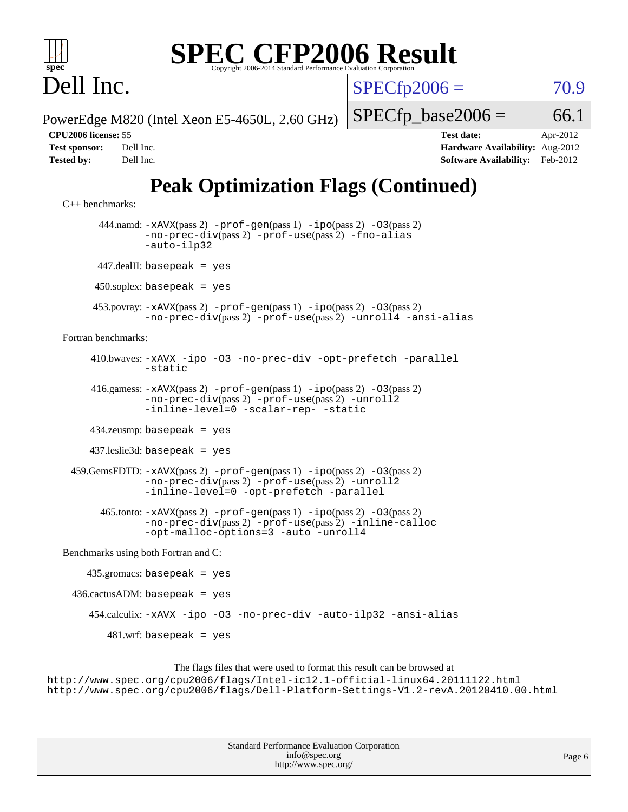| ٠ |  |  |  |  |  |  |
|---|--|--|--|--|--|--|

 $SPECfp2006 = 70.9$  $SPECfp2006 = 70.9$ 

PowerEdge M820 (Intel Xeon E5-4650L, 2.60 GHz)

 $SPECTp\_base2006 = 66.1$ 

Dell Inc.

**[CPU2006 license:](http://www.spec.org/auto/cpu2006/Docs/result-fields.html#CPU2006license)** 55 **[Test date:](http://www.spec.org/auto/cpu2006/Docs/result-fields.html#Testdate)** Apr-2012 **[Test sponsor:](http://www.spec.org/auto/cpu2006/Docs/result-fields.html#Testsponsor)** Dell Inc. **[Hardware Availability:](http://www.spec.org/auto/cpu2006/Docs/result-fields.html#HardwareAvailability)** Aug-2012 **[Tested by:](http://www.spec.org/auto/cpu2006/Docs/result-fields.html#Testedby)** Dell Inc. **[Software Availability:](http://www.spec.org/auto/cpu2006/Docs/result-fields.html#SoftwareAvailability)** Feb-2012

# **[Peak Optimization Flags \(Continued\)](http://www.spec.org/auto/cpu2006/Docs/result-fields.html#PeakOptimizationFlags)**

```
C++ benchmarks: 
        444.namd: -xAVX(pass 2) -prof-gen(pass 1) -ipo(pass 2) -O3(pass 2)
               -no-prec-div(pass 2) -prof-use(pass 2) -fno-alias
               -auto-ilp32
       447.dealII: basepeak = yes
       450.soplex: basepeak = yes
      453.povray: -xAVX(pass 2) -prof-gen(pass 1) -ipo(pass 2) -O3(pass 2)
               -no-prec-div(pass 2) -prof-use(pass 2) -unroll4 -ansi-alias
Fortran benchmarks: 
      410.bwaves: -xAVX -ipo -O3 -no-prec-div -opt-prefetch -parallel
               -static
      416.gamess: -xAVX(pass 2) -prof-gen(pass 1) -ipo(pass 2) -O3(pass 2)
                -no-prec-div(pass 2) -prof-use(pass 2) -unroll2
                -inline-level=0-scalar-rep--static
      434.zeusmp: basepeak = yes
      437.leslie3d: basepeak = yes
  459.GemsFDTD: -xAVX(pass 2) -prof-gen(pass 1) -ipo(pass 2) -O3(pass 2)
                -no-prec-div(pass 2) -prof-use(pass 2) -unroll2
                -inline-level=0 -opt-prefetch -parallel
        465.tonto: -xAVX(pass 2) -prof-gen(pass 1) -ipo(pass 2) -O3(pass 2)
                -no-prec-div(pass 2) -prof-use(pass 2) -inline-calloc
                -opt-malloc-options=3 -auto -unroll4
Benchmarks using both Fortran and C: 
    435.\text{gromacs: basepeak} = yes
 436.cactusADM: basepeak = yes 454.calculix: -xAVX -ipo -O3 -no-prec-div -auto-ilp32 -ansi-alias
        481.wrf: basepeak = yes
```
The flags files that were used to format this result can be browsed at <http://www.spec.org/cpu2006/flags/Intel-ic12.1-official-linux64.20111122.html> <http://www.spec.org/cpu2006/flags/Dell-Platform-Settings-V1.2-revA.20120410.00.html>